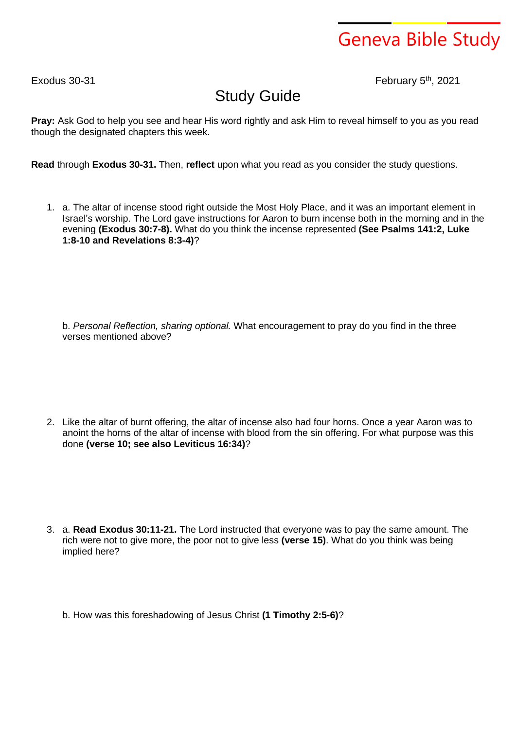## Geneva Bible Study

 $F$ xodus 30-31

th , 2021

## Study Guide

**Pray:** Ask God to help you see and hear His word rightly and ask Him to reveal himself to you as you read though the designated chapters this week.

**Read** through **Exodus 30-31.** Then, **reflect** upon what you read as you consider the study questions.

1. a. The altar of incense stood right outside the Most Holy Place, and it was an important element in Israel's worship. The Lord gave instructions for Aaron to burn incense both in the morning and in the evening **(Exodus 30:7-8).** What do you think the incense represented **(See Psalms 141:2, Luke 1:8-10 and Revelations 8:3-4)**?

b. *Personal Reflection, sharing optional.* What encouragement to pray do you find in the three verses mentioned above?

2. Like the altar of burnt offering, the altar of incense also had four horns. Once a year Aaron was to anoint the horns of the altar of incense with blood from the sin offering. For what purpose was this done **(verse 10; see also Leviticus 16:34)**?

3. a. **Read Exodus 30:11-21.** The Lord instructed that everyone was to pay the same amount. The rich were not to give more, the poor not to give less **(verse 15)**. What do you think was being implied here?

b. How was this foreshadowing of Jesus Christ **(1 Timothy 2:5-6)**?